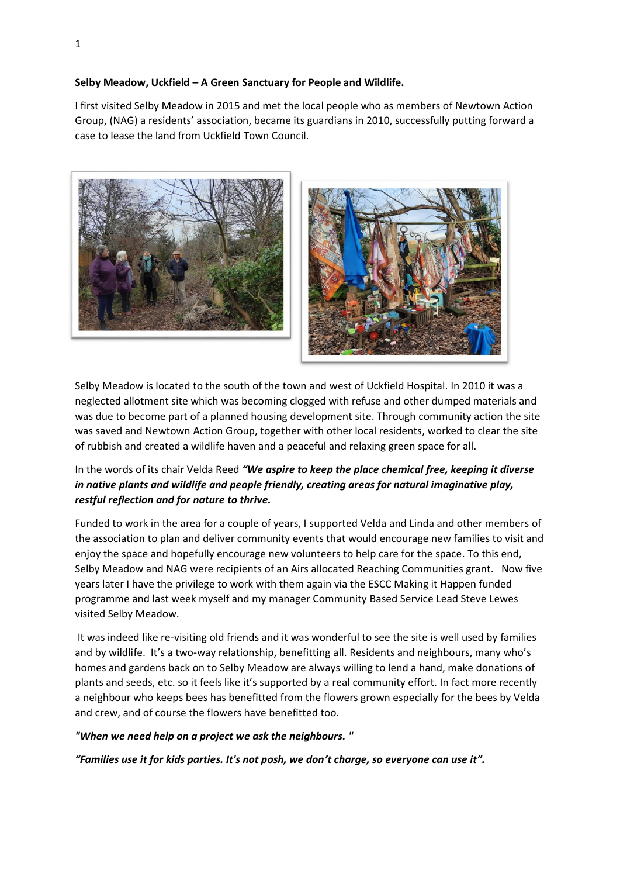## **Selby Meadow, Uckfield – A Green Sanctuary for People and Wildlife.**

I first visited Selby Meadow in 2015 and met the local people who as members of Newtown Action Group, (NAG) a residents' association, became its guardians in 2010, successfully putting forward a case to lease the land from Uckfield Town Council.





Selby Meadow is located to the south of the town and west of Uckfield Hospital. In 2010 it was a neglected allotment site which was becoming clogged with refuse and other dumped materials and was due to become part of a planned housing development site. Through community action the site was saved and Newtown Action Group, together with other local residents, worked to clear the site of rubbish and created a wildlife haven and a peaceful and relaxing green space for all.

## In the words of its chair Velda Reed *"We aspire to keep the place chemical free, keeping it diverse in native plants and wildlife and people friendly, creating areas for natural imaginative play, restful reflection and for nature to thrive.*

Funded to work in the area for a couple of years, I supported Velda and Linda and other members of the association to plan and deliver community events that would encourage new families to visit and enjoy the space and hopefully encourage new volunteers to help care for the space. To this end, Selby Meadow and NAG were recipients of an Airs allocated Reaching Communities grant. Now five years later I have the privilege to work with them again via the ESCC Making it Happen funded programme and last week myself and my manager Community Based Service Lead Steve Lewes visited Selby Meadow.

It was indeed like re-visiting old friends and it was wonderful to see the site is well used by families and by wildlife. It's a two-way relationship, benefitting all. Residents and neighbours, many who's homes and gardens back on to Selby Meadow are always willing to lend a hand, make donations of plants and seeds, etc. so it feels like it's supported by a real community effort. In fact more recently a neighbour who keeps bees has benefitted from the flowers grown especially for the bees by Velda and crew, and of course the flowers have benefitted too.

*"When we need help on a project we ask the neighbours. "*

*"Families use it for kids parties. It's not posh, we don't charge, so everyone can use it".*